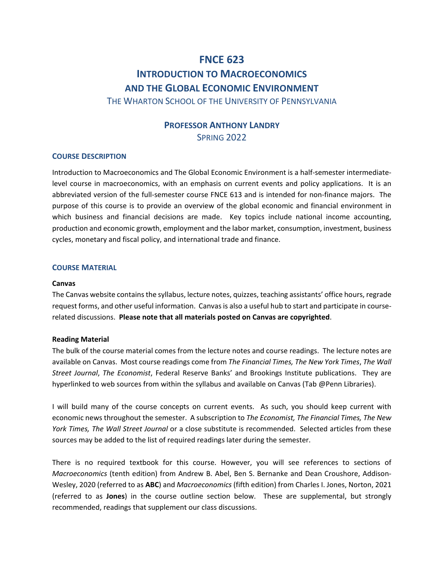# **FNCE 623 INTRODUCTION TO MACROECONOMICS AND THE GLOBAL ECONOMIC ENVIRONMENT**

THE WHARTON SCHOOL OF THE UNIVERSITY OF PENNSYLVANIA

# **PROFESSOR ANTHONY LANDRY** SPRING 2022

## **COURSE DESCRIPTION**

Introduction to Macroeconomics and The Global Economic Environment is a half-semester intermediatelevel course in macroeconomics, with an emphasis on current events and policy applications. It is an abbreviated version of the full-semester course FNCE 613 and is intended for non-finance majors. The purpose of this course is to provide an overview of the global economic and financial environment in which business and financial decisions are made. Key topics include national income accounting, production and economic growth, employment and the labor market, consumption, investment, business cycles, monetary and fiscal policy, and international trade and finance.

## **COURSE MATERIAL**

## **Canvas**

The Canvas website contains the syllabus, lecture notes, quizzes, teaching assistants' office hours, regrade request forms, and other useful information. Canvas is also a useful hub to start and participate in courserelated discussions. **Please note that all materials posted on Canvas are copyrighted**.

## **Reading Material**

The bulk of the course material comes from the lecture notes and course readings. The lecture notes are available on Canvas. Most course readings come from *The Financial Times, The New York Times*, *The Wall Street Journal*, *The Economist*, Federal Reserve Banks' and Brookings Institute publications. They are hyperlinked to web sources from within the syllabus and available on Canvas (Tab @Penn Libraries).

I will build many of the course concepts on current events. As such, you should keep current with economic news throughout the semester. A subscription to *The Economist, The Financial Times, The New York Times, The Wall Street Journal* or a close substitute is recommended. Selected articles from these sources may be added to the list of required readings later during the semester.

There is no required textbook for this course. However, you will see references to sections of *Macroeconomics* (tenth edition) from Andrew B. Abel, Ben S. Bernanke and Dean Croushore, Addison-Wesley, 2020 (referred to as **ABC**) and *Macroeconomics* (fifth edition) from Charles I. Jones, Norton, 2021 (referred to as **Jones**) in the course outline section below. These are supplemental, but strongly recommended, readings that supplement our class discussions.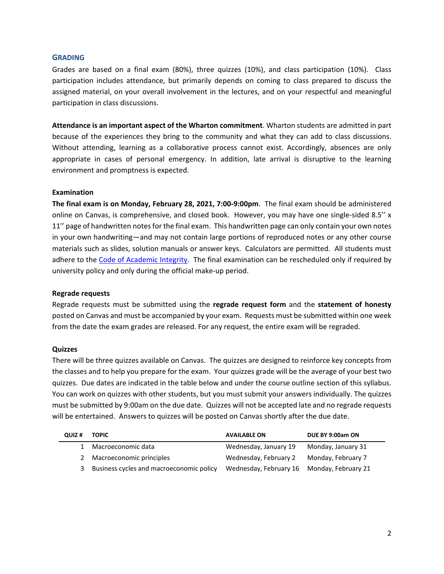## **GRADING**

Grades are based on a final exam (80%), three quizzes (10%), and class participation (10%). Class participation includes attendance, but primarily depends on coming to class prepared to discuss the assigned material, on your overall involvement in the lectures, and on your respectful and meaningful participation in class discussions.

**Attendance is an important aspect of the Wharton commitment**. Wharton students are admitted in part because of the experiences they bring to the community and what they can add to class discussions. Without attending, learning as a collaborative process cannot exist. Accordingly, absences are only appropriate in cases of personal emergency. In addition, late arrival is disruptive to the learning environment and promptness is expected.

## **Examination**

**The final exam is on Monday, February 28, 2021, 7:00-9:00pm**. The final exam should be administered online on Canvas, is comprehensive, and closed book. However, you may have one single-sided 8.5'' x 11'' page of handwritten notes for the final exam. This handwritten page can only contain your own notes in your own handwriting—and may not contain large portions of reproduced notes or any other course materials such as slides, solution manuals or answer keys. Calculators are permitted. All students must adhere to the [Code of Academic Integrity.](https://catalog.upenn.edu/pennbook/code-of-academic-integrity/) The final examination can be rescheduled only if required by university policy and only during the official make-up period.

## **Regrade requests**

Regrade requests must be submitted using the **regrade request form** and the **statement of honesty** posted on Canvas and must be accompanied by your exam. Requests must be submitted within one week from the date the exam grades are released. For any request, the entire exam will be regraded.

## **Quizzes**

There will be three quizzes available on Canvas. The quizzes are designed to reinforce key concepts from the classes and to help you prepare for the exam. Your quizzes grade will be the average of your best two quizzes. Due dates are indicated in the table below and under the course outline section of this syllabus. You can work on quizzes with other students, but you must submit your answers individually. The quizzes must be submitted by 9:00am on the due date. Quizzes will not be accepted late and no regrade requests will be entertained. Answers to quizzes will be posted on Canvas shortly after the due date.

| QUIZ # | <b>TOPIC</b>                             | <b>AVAILABLE ON</b>                        | DUE BY 9:00am ON   |
|--------|------------------------------------------|--------------------------------------------|--------------------|
| 1.     | Macroeconomic data                       | Wednesday, January 19                      | Monday, January 31 |
|        | 2 Macroeconomic principles               | Wednesday, February 2                      | Monday, February 7 |
| 3      | Business cycles and macroeconomic policy | Wednesday, February 16 Monday, February 21 |                    |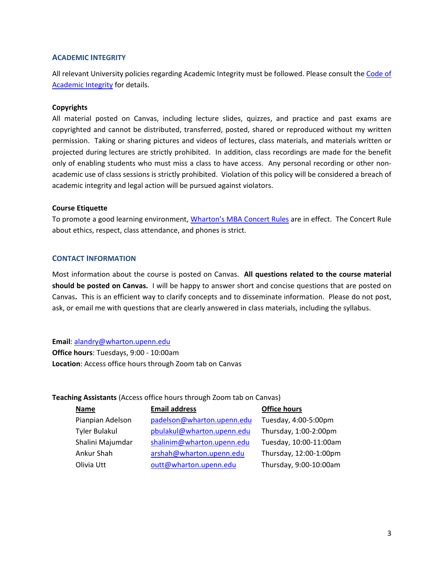## **ACADEMIC INTEGRITY**

All relevant University policies regarding Academic Integrity must be followed. Please consult th[e Code of](https://catalog.upenn.edu/pennbook/code-of-academic-integrity/)  [Academic Integrity](https://catalog.upenn.edu/pennbook/code-of-academic-integrity/) for details.

## **Copyrights**

All material posted on Canvas, including lecture slides, quizzes, and practice and past exams are copyrighted and cannot be distributed, transferred, posted, shared or reproduced without my written permission. Taking or sharing pictures and videos of lectures, class materials, and materials written or projected during lectures are strictly prohibited. In addition, class recordings are made for the benefit only of enabling students who must miss a class to have access. Any personal recording or other nonacademic use of class sessions is strictly prohibited. Violation of this policy will be considered a breach of academic integrity and legal action will be pursued against violators.

## **Course Etiquette**

To promote a good learning environment, [Wharton's MBA Concert Rules](https://mba-inside.wharton.upenn.edu/wharton-mba-academic-policies/) are in effect. The Concert Rule about ethics, respect, class attendance, and phones is strict.

## **CONTACT INFORMATION**

Most information about the course is posted on Canvas. **All questions related to the course material should be posted on Canvas.** I will be happy to answer short and concise questions that are posted on Canvas**.** This is an efficient way to clarify concepts and to disseminate information. Please do not post, ask, or email me with questions that are clearly answered in class materials, including the syllabus.

## **Email**: [alandry@wharton.upenn.edu](mailto:alandry@wharton.upenn.edu)

**Office hours**: Tuesdays, 9:00 - 10:00am **Location**: Access office hours through Zoom tab on Canvas

## **Teaching Assistants** (Access office hours through Zoom tab on Canvas)

| Name                 | <b>Email address</b>       | <b>Office hours</b>    |
|----------------------|----------------------------|------------------------|
| Pianpian Adelson     | padelson@wharton.upenn.edu | Tuesday, 4:00-5:00pm   |
| <b>Tyler Bulakul</b> | pbulakul@wharton.upenn.edu | Thursday, 1:00-2:00pm  |
| Shalini Majumdar     | shalinim@wharton.upenn.edu | Tuesday, 10:00-11:00am |
| Ankur Shah           | arshah@wharton.upenn.edu   | Thursday, 12:00-1:00pm |
| Olivia Utt           | outt@wharton.upenn.edu     | Thursday, 9:00-10:00am |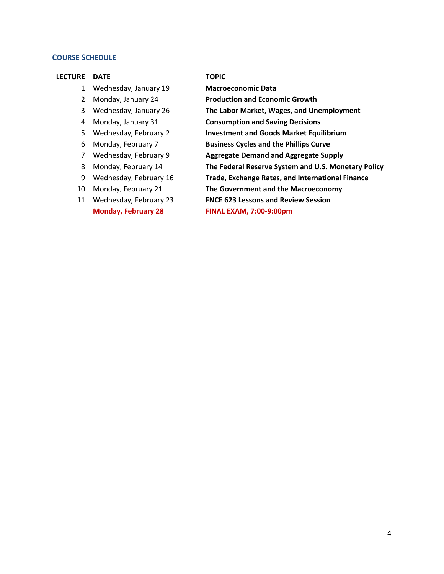## **COURSE SCHEDULE**

| <b>LECTURE</b> | <b>DATE</b>                | <b>TOPIC</b>                                            |
|----------------|----------------------------|---------------------------------------------------------|
| 1              | Wednesday, January 19      | <b>Macroeconomic Data</b>                               |
| 2              | Monday, January 24         | <b>Production and Economic Growth</b>                   |
| 3              | Wednesday, January 26      | The Labor Market, Wages, and Unemployment               |
| 4              | Monday, January 31         | <b>Consumption and Saving Decisions</b>                 |
| 5.             | Wednesday, February 2      | <b>Investment and Goods Market Equilibrium</b>          |
| 6              | Monday, February 7         | <b>Business Cycles and the Phillips Curve</b>           |
| 7              | Wednesday, February 9      | <b>Aggregate Demand and Aggregate Supply</b>            |
| 8              | Monday, February 14        | The Federal Reserve System and U.S. Monetary Policy     |
| 9              | Wednesday, February 16     | <b>Trade, Exchange Rates, and International Finance</b> |
| 10             | Monday, February 21        | The Government and the Macroeconomy                     |
| 11             | Wednesday, February 23     | <b>FNCE 623 Lessons and Review Session</b>              |
|                | <b>Monday, February 28</b> | <b>FINAL EXAM, 7:00-9:00pm</b>                          |
|                |                            |                                                         |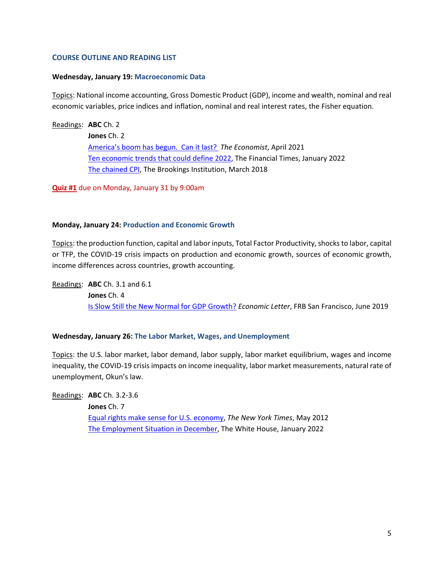## **COURSE OUTLINE AND READING LIST**

#### **Wednesday, January 19: Macroeconomic Data**

Topics: National income accounting, Gross Domestic Product (GDP), income and wealth, nominal and real economic variables, price indices and inflation, nominal and real interest rates, the Fisher equation.

#### Readings: **ABC** Ch. 2

**Jones** Ch. 2 [America's boom has begun. Can it last?](https://www.economist.com/united-states/2021/04/10/americas-boom-has-begun-can-it-last) *The Economist*, April 2021 [Ten economic trends that could define 2022,](https://www.ft.com/content/432d78ee-6163-402e-8950-d961b4b1312b) The Financial Times, January 2022 [The](https://www.brookings.edu/blog/up-front/2018/01/04/the-hutchins-center-explains-the-framework-for-monetary-policy/) [chained](https://www.brookings.edu/blog/up-front/2017/12/07/the-hutchins-center-explains-the-chained-cpi/) CPI, The Brookings Institution, March 2018

**Quiz #1** due on Monday, January 31 by 9:00am

#### **Monday, January 24: Production and Economic Growth**

Topics: the production function, capital and labor inputs, Total Factor Productivity, shocks to labor, capital or TFP, the COVID-19 crisis impacts on production and economic growth, sources of economic growth, income differences across countries, growth accounting.

Readings: **ABC** Ch. 3.1 and 6.1 **Jones** Ch. 4 [Is Slow Still the New Normal for GDP Growth?](https://www.frbsf.org/economic-research/files/el2019-17.pdf) *Economic Letter*, FRB San Francisco, June 2019

#### **Wednesday, January 26: The Labor Market, Wages, and Unemployment**

Topics: the U.S. labor market, labor demand, labor supply, labor market equilibrium, wages and income inequality, the COVID-19 crisis impacts on income inequality, labor market measurements, natural rate of unemployment, Okun's law.

Readings: **ABC** Ch. 3.2-3.6

**Jones** Ch. 7 [Equal rights make sense for U.S. economy,](http://www.nytimes.com/2012/05/18/us/18iht-letter18.html?_r=1) *The New York Times*, May 2012 [The Employment Situation in December,](https://www.whitehouse.gov/cea/written-materials/2022/01/07/the-employment-situation-in-december/) The White House, January 2022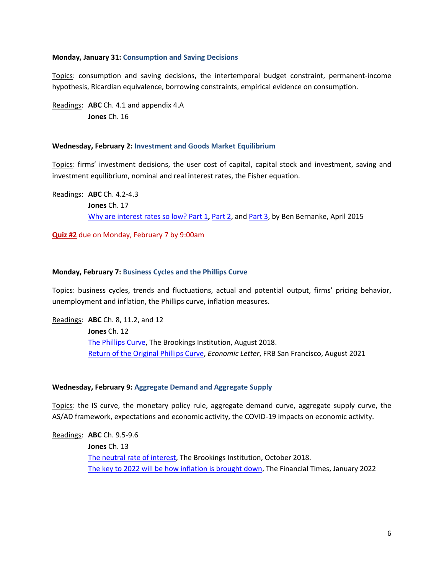## **Monday, January 31: Consumption and Saving Decisions**

Topics: consumption and saving decisions, the intertemporal budget constraint, permanent-income hypothesis, Ricardian equivalence, borrowing constraints, empirical evidence on consumption.

Readings: **ABC** Ch. 4.1 and appendix 4.A **Jones** Ch. 16

## **Wednesday, February 2: Investment and Goods Market Equilibrium**

Topics: firms' investment decisions, the user cost of capital, capital stock and investment, saving and investment equilibrium, nominal and real interest rates, the Fisher equation.

Readings: **ABC** Ch. 4.2-4.3 **Jones** Ch. 17 [Why are interest rates so low?](http://www.brookings.edu/blogs/ben-bernanke/posts/2015/03/30-why-interest-rates-so-low) Part 1**,** [Part 2,](http://www.brookings.edu/blogs/ben-bernanke/posts/2015/03/31-why-interest-rates-low-secular-stagnation) and [Part 3,](http://www.brookings.edu/blogs/ben-bernanke/posts/2015/04/01-why-interest-rates-low-global-savings-glut) by Ben Bernanke, April 2015

**Quiz #2** due on Monday, February 7 by 9:00am

## **Monday, February 7: Business Cycles and the Phillips Curve**

Topics: business cycles, trends and fluctuations, actual and potential output, firms' pricing behavior, unemployment and inflation, the Phillips curve, inflation measures.

Readings: **ABC** Ch. 8, 11.2, and 12 **Jones** Ch. 12 [The Phillips Curve,](https://www.brookings.edu/blog/up-front/2018/08/21/the-hutchins-center-explains-the-phillips-curve/) The Brookings Institution, August 2018. [Return of the Original Phillips Curve,](https://www.frbsf.org/economic-research/publications/economic-letter/2021/august/return-of-original-phillips-curve/el2021-21.pdf) *Economic Letter*, FRB San Francisco, August 2021

## **Wednesday, February 9: Aggregate Demand and Aggregate Supply**

Topics: the IS curve, the monetary policy rule, aggregate demand curve, aggregate supply curve, the AS/AD framework, expectations and economic activity, the COVID-19 impacts on economic activity.

Readings: **ABC** Ch. 9.5-9.6

**Jones** Ch. 13 [The neutral rate of interest,](https://www.brookings.edu/blog/up-front/2018/10/22/the-hutchins-center-explains-the-neutral-rate-of-interest/) The Brookings Institution, October 2018. [The key to 2022 will be how inflation is brought down,](https://www.ft.com/content/20e0857b-99cb-4495-8677-8746d97db836) The Financial Times, January 2022